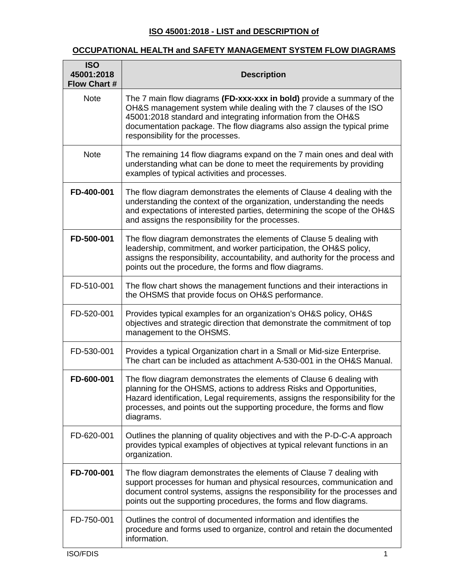## **ISO 45001:2018 - LIST and DESCRIPTION of**

## **OCCUPATIONAL HEALTH and SAFETY MANAGEMENT SYSTEM FLOW DIAGRAMS**

| <b>ISO</b><br>45001:2018<br><b>Flow Chart #</b> | <b>Description</b>                                                                                                                                                                                                                                                                                                           |
|-------------------------------------------------|------------------------------------------------------------------------------------------------------------------------------------------------------------------------------------------------------------------------------------------------------------------------------------------------------------------------------|
| <b>Note</b>                                     | The 7 main flow diagrams (FD-xxx-xxx in bold) provide a summary of the<br>OH&S management system while dealing with the 7 clauses of the ISO<br>45001:2018 standard and integrating information from the OH&S<br>documentation package. The flow diagrams also assign the typical prime<br>responsibility for the processes. |
| <b>Note</b>                                     | The remaining 14 flow diagrams expand on the 7 main ones and deal with<br>understanding what can be done to meet the requirements by providing<br>examples of typical activities and processes.                                                                                                                              |
| FD-400-001                                      | The flow diagram demonstrates the elements of Clause 4 dealing with the<br>understanding the context of the organization, understanding the needs<br>and expectations of interested parties, determining the scope of the OH&S<br>and assigns the responsibility for the processes.                                          |
| FD-500-001                                      | The flow diagram demonstrates the elements of Clause 5 dealing with<br>leadership, commitment, and worker participation, the OH&S policy,<br>assigns the responsibility, accountability, and authority for the process and<br>points out the procedure, the forms and flow diagrams.                                         |
| FD-510-001                                      | The flow chart shows the management functions and their interactions in<br>the OHSMS that provide focus on OH&S performance.                                                                                                                                                                                                 |
| FD-520-001                                      | Provides typical examples for an organization's OH&S policy, OH&S<br>objectives and strategic direction that demonstrate the commitment of top<br>management to the OHSMS.                                                                                                                                                   |
| FD-530-001                                      | Provides a typical Organization chart in a Small or Mid-size Enterprise.<br>The chart can be included as attachment A-530-001 in the OH&S Manual.                                                                                                                                                                            |
| FD-600-001                                      | The flow diagram demonstrates the elements of Clause 6 dealing with<br>planning for the OHSMS, actions to address Risks and Opportunities,<br>Hazard identification, Legal requirements, assigns the responsibility for the<br>processes, and points out the supporting procedure, the forms and flow<br>diagrams.           |
| FD-620-001                                      | Outlines the planning of quality objectives and with the P-D-C-A approach<br>provides typical examples of objectives at typical relevant functions in an<br>organization.                                                                                                                                                    |
| FD-700-001                                      | The flow diagram demonstrates the elements of Clause 7 dealing with<br>support processes for human and physical resources, communication and<br>document control systems, assigns the responsibility for the processes and<br>points out the supporting procedures, the forms and flow diagrams.                             |
| FD-750-001                                      | Outlines the control of documented information and identifies the<br>procedure and forms used to organize, control and retain the documented<br>information.                                                                                                                                                                 |